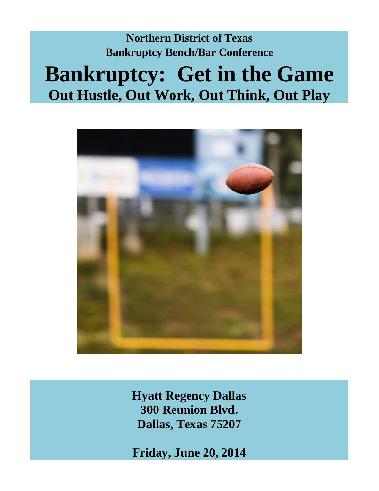# **Northern District of Texas Bankruptcy Bench/Bar Conference Bankruptcy: Get in the Game Out Hustle, Out Work, Out Think, Out Play**



**Hyatt Regency Dallas 300 Reunion Blvd. Dallas, Texas 75207**

**Friday, June 20, 2014**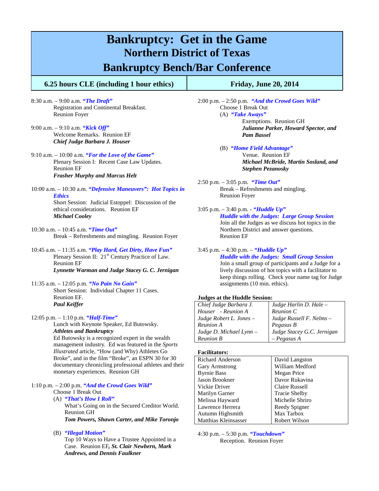### **Bankruptcy: Get in the Game Northern District of Texas**

### **Bankruptcy Bench/Bar Conference**

#### **6.25 hours CLE (including 1 hour ethics) Friday, June 20, 2014**

- 8:30 a.m. 9:00 a.m. *"The Draft"* Registration and Continental Breakfast. Reunion Foyer
- 9:00 a.m. 9:10 a.m. *"Kick Off"*  Welcome Remarks. Reunion EF *Chief Judge Barbara J. Houser*
- 9:10 a.m. 10:00 a.m. *"For the Love of the Game"* Plenary Session I: Recent Case Law Updates. Reunion EF *Frasher Murphy and Marcus Helt*
- 10:00 a.m. 10:30 a.m. *"Defensive Maneuvers": Hot Topics in Ethics*

Short Session: Judicial Estoppel: Discussion of the ethical considerations. Reunion EF *Michael Cooley*

- 10:30 a.m. 10:45 a.m. *"Time Out"* Break – Refreshments and mingling. Reunion Foyer
- 10:45 a.m. 11:35 a.m. *"Play Hard, Get Dirty, Have Fun"*  Plenary Session II: 21<sup>st</sup> Century Practice of Law. Reunion EF *Lynnette Warman and Judge Stacey G. C. Jernigan*
- 11:35 a.m. 12:05 p.m. *"No Pain No Gain"* Short Session: Individual Chapter 11 Cases. Reunion EF. *Paul Keiffer*
- 12:05 p.m. 1:10 p.m. *"Half-Time"* Lunch with Keynote Speaker, Ed Butowsky.

*Athletes and Bankruptcy* Ed Butowsky is a recognized expert in the wealth management industry. Ed was featured in the *Sports Illustrated* article, "How (and Why) Athletes Go Broke", and in the film "Broke", an ESPN 30 for 30 documentary chronicling professional athletes and their monetary experiences. Reunion GH

- 1:10 p.m. 2:00 p.m. *"And the Crowd Goes Wild"*
	- Choose 1 Break Out (A) *"That's How I Roll"* What's Going on in the Secured Creditor World. Reunion GH *Tom Powers, Shawn Carter, and Mike Toronjo*
	- (B) *"Illegal Motion"*

Top 10 Ways to Have a Trustee Appointed in a Case. Reunion EF*, St. Clair Newbern, Mark Andrews, and Dennis Faulkner*

2:00 p.m. – 2:50 p.m. *"And the Crowd Goes Wild"* Choose 1 Break Out (A) *"Take Aways"* Exemptions. Reunion GH *Julianne Parker, Howard Spector, and Pam Bassel*

> (B) *"Home Field Advantage"* Venue. Reunion EF *Michael McBride, Martin Sosland, and Stephen Pezanosky*

- 2:50 p.m. 3:05 p.m. *"Time Out"* Break – Refreshments and mingling. Reunion Foyer
- 3:05 p.m. 3:40 p.m. *"Huddle Up" Huddle with the Judges: Large Group Session* Join all the Judges as we discuss hot topics in the Northern District and answer questions. Reunion EF

#### 3:45 p.m. – 4:30 p.m. – *"Huddle Up" Huddle with the Judges: Small Group Session* Join a small group of participants and a Judge for a

lively discussion of hot topics with a facilitator to keep things rolling. Check your name tag for Judge assignments (10 min. ethics).

#### **Judges at the Huddle Session:**

| Chief Judge Barbara J.    | Judge Harlin D. Hale $-$   |
|---------------------------|----------------------------|
| Houser - Reunion A        | Reunion C                  |
| Judge Robert L. Jones $-$ | Judge Russell F. Nelms -   |
| Reunion A                 | Pegasus B                  |
| Judge D. Michael Lynn $-$ | Judge Stacey G.C. Jernigan |
| <b>Reunion B</b>          | $- Pegasus A$              |

#### **Facilitators:**

| David Langston       |
|----------------------|
| William Medford      |
| Megan Price          |
| Davor Rukavina       |
| Claire Russell       |
| <b>Tracie Shelby</b> |
| Michelle Shriro      |
| Reedy Spigner        |
| Max Tarbox           |
| Robert Wilson        |
|                      |

4:30 p.m. – 5:30 p.m. *"Touchdown"* Reception. Reunion Foyer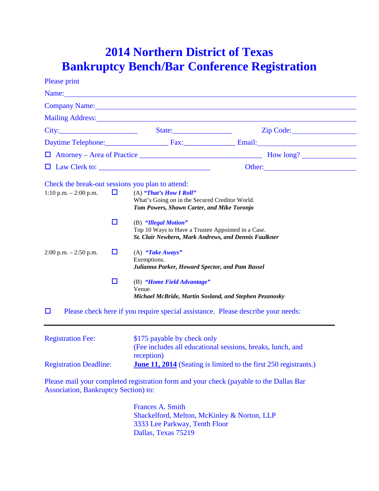## **2014 Northern District of Texas Bankruptcy Bench/Bar Conference Registration**

| <b>Please print</b>                                                         |        |                                                                                                                                                                                                                               |                                                                                                                                                                                                                                |  |
|-----------------------------------------------------------------------------|--------|-------------------------------------------------------------------------------------------------------------------------------------------------------------------------------------------------------------------------------|--------------------------------------------------------------------------------------------------------------------------------------------------------------------------------------------------------------------------------|--|
|                                                                             |        | Name: Name and the second contract of the second contract of the second contract of the second contract of the second contract of the second contract of the second contract of the second contract of the second contract of |                                                                                                                                                                                                                                |  |
|                                                                             |        |                                                                                                                                                                                                                               | Company Name: Name: Name and South Assembly Name and South Assembly Name and South Assembly Name and South Assembly Name and South Assembly Name and Assembly Name and Assembly Name and Assembly Name and Assembly Name and A |  |
|                                                                             |        | Mailing Address: Mailing Address:                                                                                                                                                                                             |                                                                                                                                                                                                                                |  |
| City:                                                                       |        | State: $\sqrt{2\pi}$                                                                                                                                                                                                          |                                                                                                                                                                                                                                |  |
|                                                                             |        |                                                                                                                                                                                                                               | Daytime Telephone: Fax: Fax: Email: Email:                                                                                                                                                                                     |  |
|                                                                             |        |                                                                                                                                                                                                                               | $\Box$ Attorney – Area of Practice $\Box$ How long?                                                                                                                                                                            |  |
|                                                                             |        |                                                                                                                                                                                                                               | Other:                                                                                                                                                                                                                         |  |
| Check the break-out sessions you plan to attend:<br>1:10 p.m. $- 2:00$ p.m. | $\Box$ | (A) "That's How I Roll"<br>What's Going on in the Secured Creditor World.<br>Tom Powers, Shawn Carter, and Mike Toronjo                                                                                                       |                                                                                                                                                                                                                                |  |
|                                                                             | $\Box$ | (B) "Illegal Motion"<br>Top 10 Ways to Have a Trustee Appointed in a Case.<br>St. Clair Newbern, Mark Andrews, and Dennis Faulkner                                                                                            |                                                                                                                                                                                                                                |  |
| $2:00$ p.m. $-2:50$ p.m.                                                    | □      | (A) "Take Aways"<br>Exemptions.<br>Julianna Parker, Howard Spector, and Pam Bassel                                                                                                                                            |                                                                                                                                                                                                                                |  |
|                                                                             | ◘      | (B) "Home Field Advantage"<br>Venue.<br>Michael McBride, Martin Sosland, and Stephen Pezanosky                                                                                                                                |                                                                                                                                                                                                                                |  |
| $\Box$                                                                      |        |                                                                                                                                                                                                                               | Please check here if you require special assistance. Please describe your needs:                                                                                                                                               |  |
| <b>Registration Fee:</b>                                                    |        | \$175 payable by check only<br>(Fee includes all educational sessions, breaks, lunch, and                                                                                                                                     |                                                                                                                                                                                                                                |  |
| <b>Registration Deadline:</b>                                               |        | reception)<br>June 11, 2014 (Seating is limited to the first 250 registrants.)                                                                                                                                                |                                                                                                                                                                                                                                |  |

Please mail your completed registration form and your check (payable to the Dallas Bar Association, Bankruptcy Section) to:

> Frances A. Smith Shackelford, Melton, McKinley & Norton, LLP 3333 Lee Parkway, Tenth Floor Dallas, Texas 75219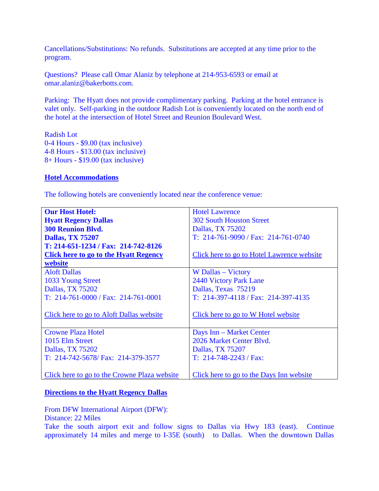Cancellations/Substitutions: No refunds. Substitutions are accepted at any time prior to the program.

Questions? Please call Omar Alaniz by telephone at 214-953-6593 or email at omar.alaniz@bakerbotts.com.

Parking: The Hyatt does not provide complimentary parking. Parking at the hotel entrance is valet only. Self-parking in the outdoor Radish Lot is conveniently located on the north end of the hotel at the intersection of Hotel Street and Reunion Boulevard West.

Radish Lot 0-4 Hours - \$9.00 (tax inclusive) 4-8 Hours - \$13.00 (tax inclusive) 8+ Hours - \$19.00 (tax inclusive)

#### **Hotel Accommodations**

The following hotels are conveniently located near the conference venue:

| <b>Our Host Hotel:</b>                       | <b>Hotel Lawrence</b>                      |
|----------------------------------------------|--------------------------------------------|
| <b>Hyatt Regency Dallas</b>                  | <b>302 South Houston Street</b>            |
| <b>300 Reunion Blvd.</b>                     | Dallas, TX 75202                           |
| <b>Dallas, TX 75207</b>                      | T: $214-761-9090$ / Fax: $214-761-0740$    |
| T: 214-651-1234 / Fax: 214-742-8126          |                                            |
| <b>Click here to go to the Hyatt Regency</b> | Click here to go to Hotel Lawrence website |
| website                                      |                                            |
| <b>Aloft Dallas</b>                          | W Dallas – Victory                         |
| 1033 Young Street                            | 2440 Victory Park Lane                     |
| Dallas, TX 75202                             | Dallas, Texas 75219                        |
| $T: 214-761-0000 / Fax: 214-761-0001$        | $T: 214-397-4118 / Fax: 214-397-4135$      |
|                                              |                                            |
| Click here to go to Aloft Dallas website     | Click here to go to W Hotel website        |
|                                              |                                            |
| <b>Crowne Plaza Hotel</b>                    | Days Inn – Market Center                   |
| 1015 Elm Street                              | 2026 Market Center Blvd.                   |
| Dallas, TX 75202                             | Dallas, TX 75207                           |
| T: 214-742-5678/ Fax: 214-379-3577           | $T: 214-748-2243$ / Fax:                   |
|                                              |                                            |
| Click here to go to the Crowne Plaza website | Click here to go to the Days Inn website   |

### **Directions to the Hyatt Regency Dallas**

From DFW International Airport (DFW):

Distance: 22 Miles

Take the south airport exit and follow signs to Dallas via Hwy 183 (east). Continue approximately 14 miles and merge to I-35E (south) to Dallas. When the downtown Dallas